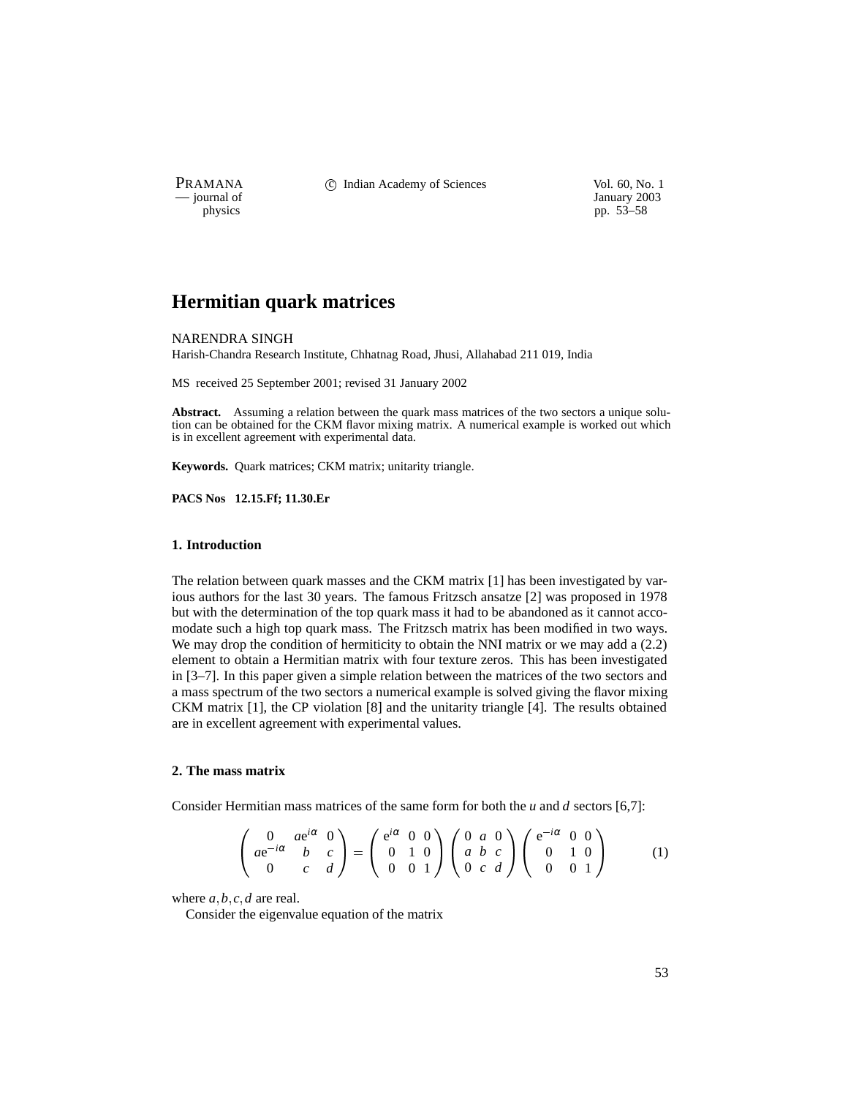PRAMANA 
<sup>c</sup> Indian Academy of Sciences 
<sup>Vol. 60, No. 1
<sup>1</sup> January 2003</sup>

January 2003 physics pp. 53–58

# **Hermitian quark matrices**

NARENDRA SINGH

Harish-Chandra Research Institute, Chhatnag Road, Jhusi, Allahabad 211 019, India

MS received 25 September 2001; revised 31 January 2002

**Abstract.** Assuming a relation between the quark mass matrices of the two sectors a unique solution can be obtained for the CKM flavor mixing matrix. A numerical example is worked out which is in excellent agreement with experimental data.

**Keywords.** Quark matrices; CKM matrix; unitarity triangle.

**PACS Nos 12.15.Ff; 11.30.Er**

### **1. Introduction**

The relation between quark masses and the CKM matrix [1] has been investigated by various authors for the last 30 years. The famous Fritzsch ansatze [2] was proposed in 1978 but with the determination of the top quark mass it had to be abandoned as it cannot accomodate such a high top quark mass. The Fritzsch matrix has been modified in two ways. We may drop the condition of hermiticity to obtain the NNI matrix or we may add a  $(2.2)$ element to obtain a Hermitian matrix with four texture zeros. This has been investigated in [3–7]. In this paper given a simple relation between the matrices of the two sectors and a mass spectrum of the two sectors a numerical example is solved giving the flavor mixing CKM matrix [1], the CP violation [8] and the unitarity triangle [4]. The results obtained are in excellent agreement with experimental values.

### **2. The mass matrix**

Consider Hermitian mass matrices of the same form for both the *u* and *d* sectors [6,7]:

$$
\begin{pmatrix}\n0 & ae^{i\alpha} & 0 \\
ae^{-i\alpha} & b & c \\
0 & c & d\n\end{pmatrix} = \begin{pmatrix}\ne^{i\alpha} & 0 & 0 \\
0 & 1 & 0 \\
0 & 0 & 1\n\end{pmatrix} \begin{pmatrix}\n0 & a & 0 \\
a & b & c \\
0 & c & d\n\end{pmatrix} \begin{pmatrix}\ne^{-i\alpha} & 0 & 0 \\
0 & 1 & 0 \\
0 & 0 & 1\n\end{pmatrix}
$$
\n(1)

where  $a, b, c, d$  are real.

Consider the eigenvalue equation of the matrix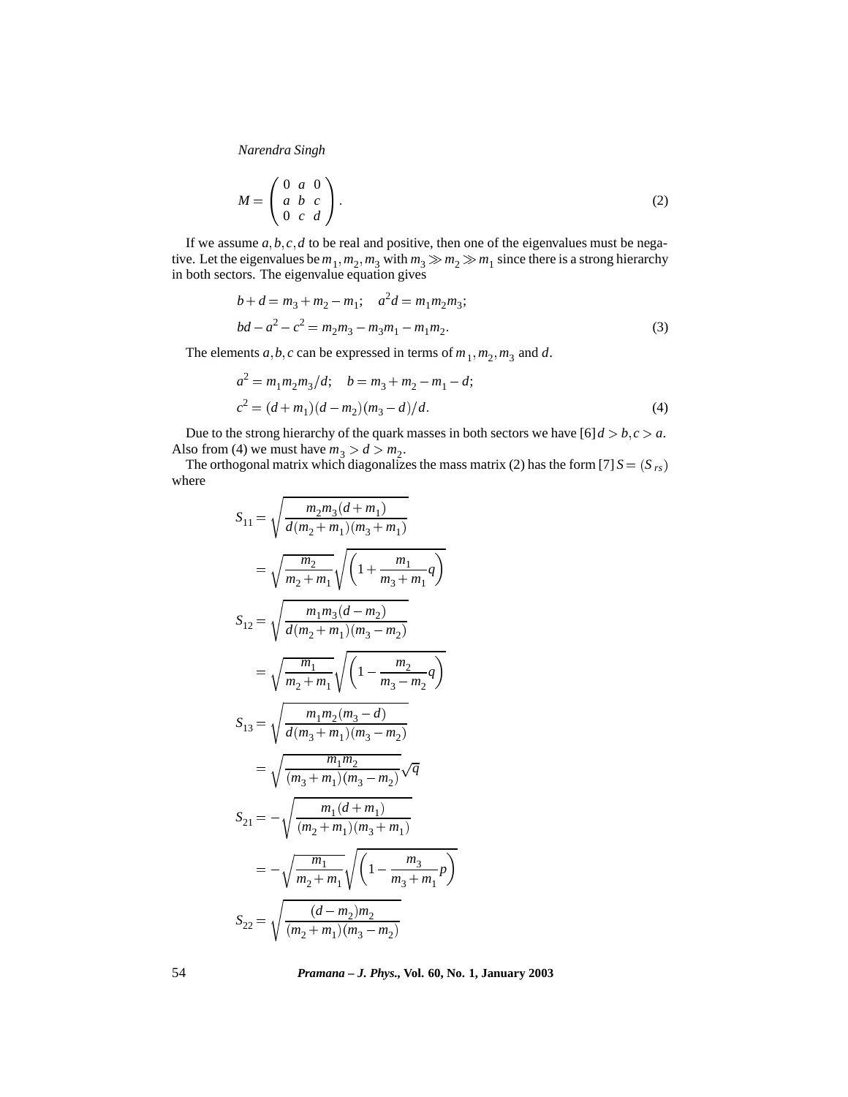*Narendra Singh*

$$
M = \begin{pmatrix} 0 & a & 0 \\ a & b & c \\ 0 & c & d \end{pmatrix}.
$$
 (2)

If we assume  $a, b, c, d$  to be real and positive, then one of the eigenvalues must be negative. Let the eigenvalues be  $m_1, m_2, m_3$  with  $m_3 \gg m_2 \gg m_1$  since there is a strong hierarchy in both sectors. The eigenvalue equation gives

$$
b + d = m_3 + m_2 - m_1; \quad a^2 d = m_1 m_2 m_3;
$$
  

$$
bd - a^2 - c^2 = m_2 m_3 - m_3 m_1 - m_1 m_2.
$$
 (3)

The elements  $a, b, c$  can be expressed in terms of  $m_1, m_2, m_3$  and  $d$ .

$$
a2 = m1m2m3/d; \t b = m3 + m2 - m1 - d;c2 = (d + m1)(d - m2)(m3 - d)/d.
$$
 (4)

Due to the strong hierarchy of the quark masses in both sectors we have  $[6]d > b, c > a$ . Also from (4) we must have  $m_3 > d > m_2$ .

The orthogonal matrix which diagonalizes the mass matrix (2) has the form [7]  $S = (S_{rs})$ where

$$
S_{11} = \sqrt{\frac{m_2 m_3 (d + m_1)}{d(m_2 + m_1)(m_3 + m_1)}}
$$
  
\n
$$
= \sqrt{\frac{m_2}{m_2 + m_1}} \sqrt{\left(1 + \frac{m_1}{m_3 + m_1}q\right)}
$$
  
\n
$$
S_{12} = \sqrt{\frac{m_1 m_3 (d - m_2)}{d(m_2 + m_1)(m_3 - m_2)}}
$$
  
\n
$$
= \sqrt{\frac{m_1}{m_2 + m_1}} \sqrt{\left(1 - \frac{m_2}{m_3 - m_2}q\right)}
$$
  
\n
$$
S_{13} = \sqrt{\frac{m_1 m_2 (m_3 - d)}{d(m_3 + m_1)(m_3 - m_2)}}
$$
  
\n
$$
= \sqrt{\frac{m_1 m_2}{(m_3 + m_1)(m_3 - m_2)}} \sqrt{q}
$$
  
\n
$$
S_{21} = -\sqrt{\frac{m_1 (d + m_1)}{(m_2 + m_1)(m_3 + m_1)}}
$$
  
\n
$$
= -\sqrt{\frac{m_1}{m_2 + m_1}} \sqrt{\left(1 - \frac{m_3}{m_3 + m_1}p\right)}
$$
  
\n
$$
S_{22} = \sqrt{\frac{(d - m_2)m_2}{(m_2 + m_1)(m_3 - m_2)}}
$$

54 *Pramana – J. Phys.,* **Vol. 60, No. 1, January 2003**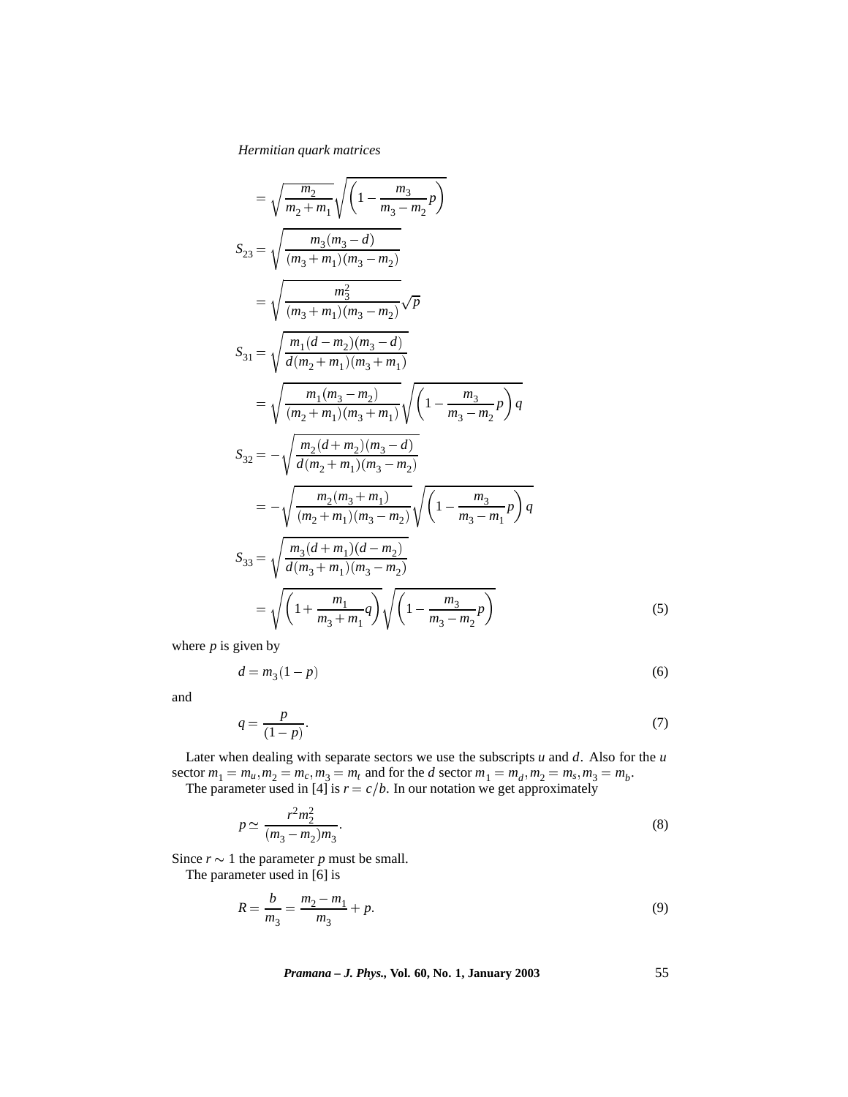## *Hermitian quark matrices*

$$
= \sqrt{\frac{m_2}{m_2 + m_1}} \sqrt{\left(1 - \frac{m_3}{m_3 - m_2}p\right)}
$$
  
\n
$$
S_{23} = \sqrt{\frac{m_3(m_3 - d)}{(m_3 + m_1)(m_3 - m_2)}}
$$
  
\n
$$
= \sqrt{\frac{m_3^2}{(m_3 + m_1)(m_3 - m_2)}} \sqrt{p}
$$
  
\n
$$
S_{31} = \sqrt{\frac{m_1(d - m_2)(m_3 - d)}{d(m_2 + m_1)(m_3 + m_1)}}
$$
  
\n
$$
= \sqrt{\frac{m_1(m_3 - m_2)}{(m_2 + m_1)(m_3 + m_1)}} \sqrt{\left(1 - \frac{m_3}{m_3 - m_2}p\right)q}
$$
  
\n
$$
S_{32} = -\sqrt{\frac{m_2(d + m_2)(m_3 - d)}{d(m_2 + m_1)(m_3 - m_2)}}
$$
  
\n
$$
= -\sqrt{\frac{m_2(m_3 + m_1)}{(m_2 + m_1)(m_3 - m_2)}} \sqrt{\left(1 - \frac{m_3}{m_3 - m_1}p\right)q}
$$
  
\n
$$
S_{33} = \sqrt{\frac{m_3(d + m_1)(d - m_2)}{d(m_3 + m_1)(m_3 - m_2)}}
$$
  
\n
$$
= \sqrt{\left(1 + \frac{m_1}{m_3 + m_1}q\right)} \sqrt{\left(1 - \frac{m_3}{m_3 - m_2}p\right)}
$$
  
\n(5)

where  $p$  is given by

$$
d = m_3(1 - p) \tag{6}
$$

and

$$
q = \frac{p}{(1-p)}.\tag{7}
$$

Later when dealing with separate sectors we use the subscripts *u* and *d*. Also for the *u* sector  $m_1 = m_u, m_2 = m_c, m_3 = m_t$  and for the *d* sector  $m_1 = m_d, m_2 = m_s, m_3 = m_b$ . The parameter used in [4] is  $r = c/b$ . In our notation we get approximately

$$
p \simeq \frac{r^2 m_2^2}{(m_3 - m_2)m_3}.\tag{8}
$$

Since  $r \sim 1$  the parameter *p* must be small.

The parameter used in [6] is

$$
R = \frac{b}{m_3} = \frac{m_2 - m_1}{m_3} + p. \tag{9}
$$

*Pramana – J. Phys.,* **Vol. 60, No. 1, January 2003** 55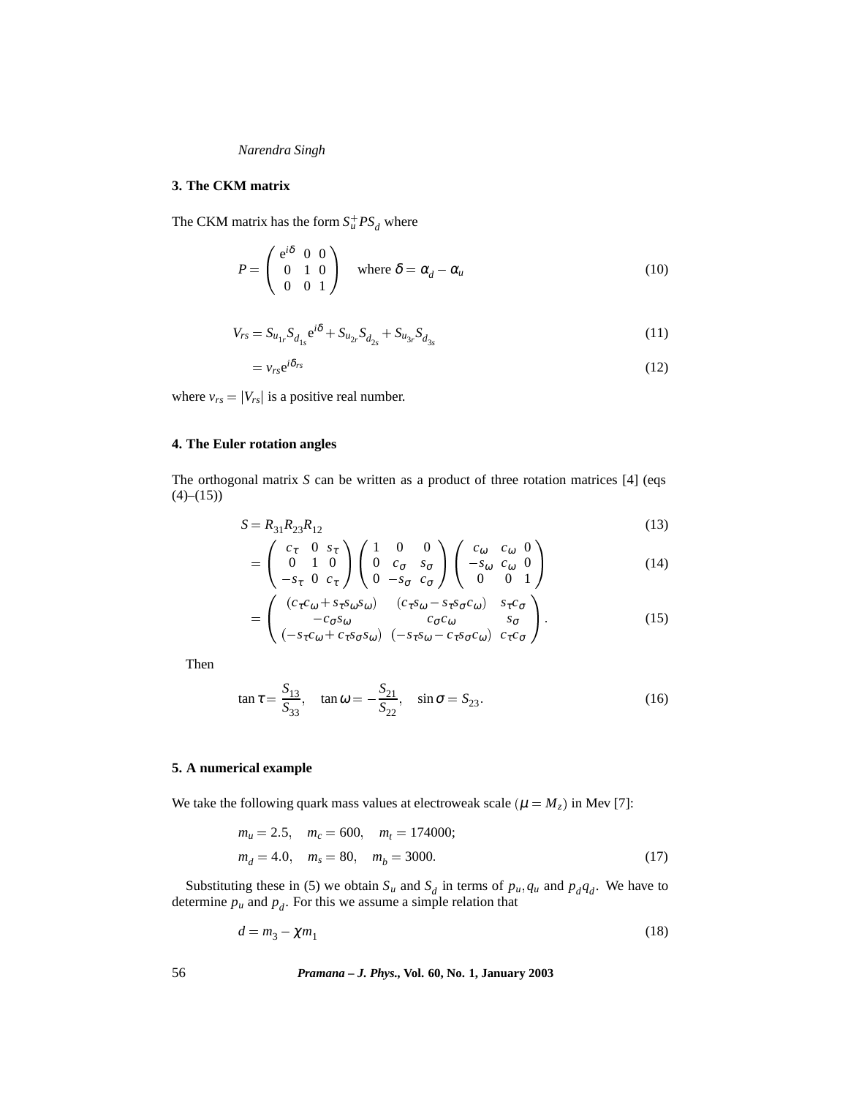## *Narendra Singh*

#### **3. The CKM matrix**

The CKM matrix has the form  $S_u^+ PS_d$  where

$$
P = \begin{pmatrix} e^{i\delta} & 0 & 0 \\ 0 & 1 & 0 \\ 0 & 0 & 1 \end{pmatrix} \text{ where } \delta = \alpha_d - \alpha_u \tag{10}
$$

$$
V_{rs} = S_{u_{1r}} S_{d_{1s}} e^{i\delta} + S_{u_{2r}} S_{d_{2s}} + S_{u_{3r}} S_{d_{3s}}
$$
(11)

$$
=v_{rs}e^{i\delta_{rs}}\tag{12}
$$

where  $v_{rs} = |V_{rs}|$  is a positive real number.

## **4. The Euler rotation angles**

The orthogonal matrix *S* can be written as a product of three rotation matrices [4] (eqs  $(4)-(15)$ 

$$
S = R_{31}R_{23}R_{12}
$$
\n(13)

$$
= \begin{pmatrix} c_{\tau} & 0 & s_{\tau} \\ 0 & 1 & 0 \\ -s_{\tau} & 0 & c_{\tau} \end{pmatrix} \begin{pmatrix} 1 & 0 & 0 \\ 0 & c_{\sigma} & s_{\sigma} \\ 0 & -s_{\sigma} & c_{\sigma} \end{pmatrix} \begin{pmatrix} c_{\omega} & c_{\omega} & 0 \\ -s_{\omega} & c_{\omega} & 0 \\ 0 & 0 & 1 \end{pmatrix}
$$
(14)

$$
= \begin{pmatrix} (c_{\tau}c_{\omega} + s_{\tau}s_{\omega}s_{\omega}) & (c_{\tau}s_{\omega} - s_{\tau}s_{\sigma}c_{\omega}) & s_{\tau}c_{\sigma} \\ -c_{\sigma}s_{\omega} & c_{\sigma}c_{\omega} & s_{\sigma} \\ (-s_{\tau}c_{\omega} + c_{\tau}s_{\sigma}s_{\omega}) & (-s_{\tau}s_{\omega} - c_{\tau}s_{\sigma}c_{\omega}) & c_{\tau}c_{\sigma} \end{pmatrix}.
$$
 (15)

Then

$$
\tan \tau = \frac{S_{13}}{S_{33}}, \quad \tan \omega = -\frac{S_{21}}{S_{22}}, \quad \sin \sigma = S_{23}.
$$
 (16)

# **5. A numerical example**

We take the following quark mass values at electroweak scale ( $\mu = M_z$ ) in Mev [7]:

$$
m_u = 2.5, \quad m_c = 600, \quad m_t = 174000;
$$
  

$$
m_d = 4.0, \quad m_s = 80, \quad m_b = 3000.
$$
 (17)

Substituting these in (5) we obtain  $S_u$  and  $S_d$  in terms of  $p_u, q_u$  and  $p_dq_d$ . We have to determine  $p_u$  and  $p_d$ . For this we assume a simple relation that

$$
d = m_3 - \chi m_1 \tag{18}
$$

56 *Pramana – J. Phys.,* **Vol. 60, No. 1, January 2003**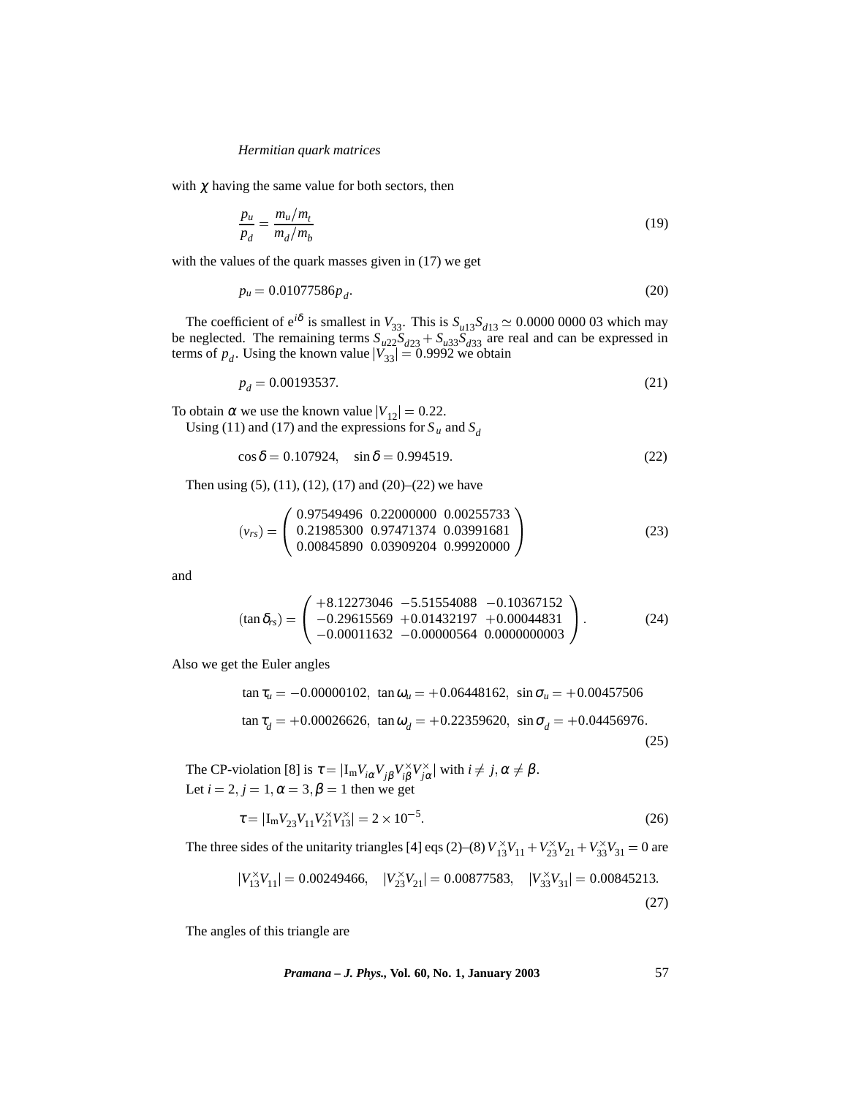### *Hermitian quark matrices*

with  $\chi$  having the same value for both sectors, then

$$
\frac{p_u}{p_d} = \frac{m_u/m_t}{m_d/m_b} \tag{19}
$$

with the values of the quark masses given in (17) we get

$$
p_u = 0.01077586 p_d. \tag{20}
$$

The coefficient of  $e^{i\delta}$  is smallest in  $V_{33}$ . This is  $S_{u13}S_{d13} \simeq 0.0000 0000 03$  which may be neglected. The remaining terms  $S_{u22}S_{d23} + S_{u33}S_{d33}$  are real and can be expressed in terms of  $p_d$ . Using the known value  $|V_{33}| = 0.9992$  we obtain

$$
p_d = 0.00193537.\t(21)
$$

To obtain  $\alpha$  we use the known value  $|V_{12}| = 0.22$ . Using (11) and (17) and the expressions for  $S_u$  and  $S_d$ 

$$
\cos \delta = 0.107924, \quad \sin \delta = 0.994519. \tag{22}
$$

Then using  $(5)$ ,  $(11)$ ,  $(12)$ ,  $(17)$  and  $(20)$ – $(22)$  we have

$$
\left(v_{rs}\right) = \left(\begin{array}{ccc} 0.97549496 & 0.22000000 & 0.00255733\\ 0.21985300 & 0.97471374 & 0.03991681\\ 0.00845890 & 0.03909204 & 0.99920000 \end{array}\right) \tag{23}
$$

and

$$
(\tan \delta_{rs}) = \begin{pmatrix} +8.12273046 & -5.51554088 & -0.10367152 \\ -0.29615569 & +0.01432197 & +0.00044831 \\ -0.00011632 & -0.00000564 & 0.0000000003 \end{pmatrix}.
$$
 (24)

Also we get the Euler angles

$$
\tan \tau_u = -0.00000102, \quad \tan \omega_u = +0.06448162, \quad \sin \sigma_u = +0.00457506
$$
\n
$$
\tan \tau_d = +0.00026626, \quad \tan \omega_d = +0.22359620, \quad \sin \sigma_d = +0.04456976.
$$
\n(25)

The CP-violation [8] is  $\tau = |I_m V_{i\alpha} V_{j\beta} V_{i\beta}^{\times} V_{j\alpha}^{\times}|$  with  $i \neq j, \alpha \neq \beta$ . Let  $i = 2, j = 1, \alpha = 3, \beta = 1$  then we get

$$
\tau = |I_{m}V_{23}V_{11}V_{21}^{X}V_{13}^{X}| = 2 \times 10^{-5}
$$
\n(26)

The three sides of the unitarity triangles [4] eqs (2)–(8)  $V_{13}^{x}V_{11} + V_{23}^{x}V_{21} + V_{33}^{x}V_{31} = 0$  are

$$
|V_{13}^{\times}V_{11}| = 0.00249466, \quad |V_{23}^{\times}V_{21}| = 0.00877583, \quad |V_{33}^{\times}V_{31}| = 0.00845213.
$$
\n(27)

The angles of this triangle are

*Pramana – J. Phys.,* **Vol. 60, No. 1, January 2003** 57